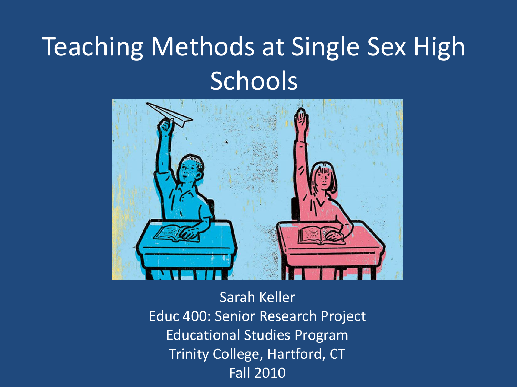## Teaching Methods at Single Sex High Schools



Sarah Keller Educ 400: Senior Research Project Educational Studies Program Trinity College, Hartford, CT Fall 2010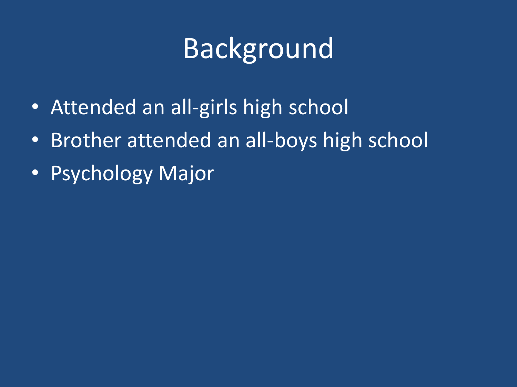# Background

- Attended an all-girls high school
- Brother attended an all-boys high school
- Psychology Major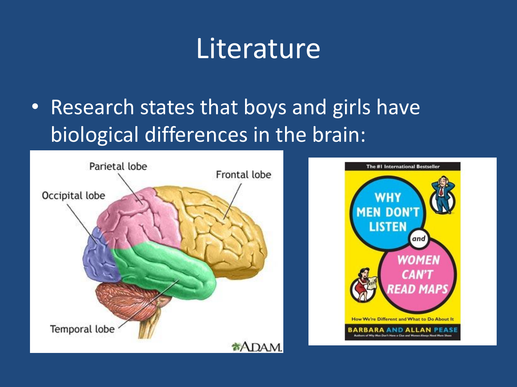#### **Literature**

• Research states that boys and girls have biological differences in the brain:



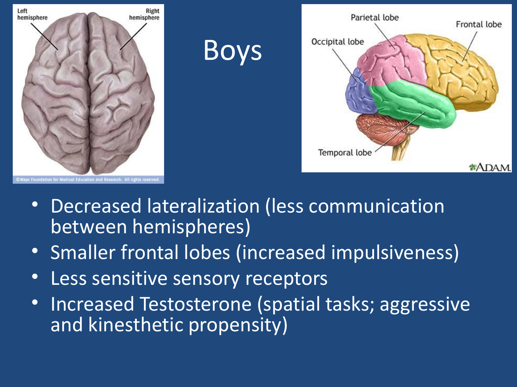

- Decreased lateralization (less communication between hemispheres)
- Smaller frontal lobes (increased impulsiveness)
- Less sensitive sensory receptors
- Increased Testosterone (spatial tasks; aggressive and kinesthetic propensity)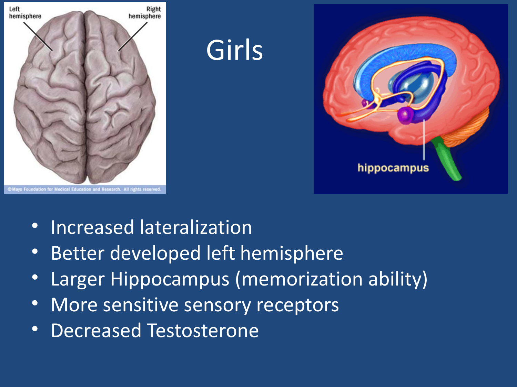

- Increased lateralization
- Better developed left hemisphere
- Larger Hippocampus (memorization ability)
- More sensitive sensory receptors
- Decreased Testosterone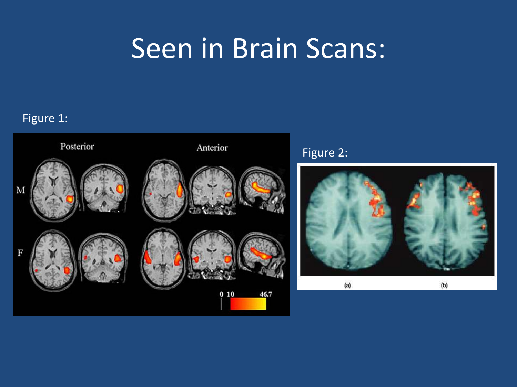## Seen in Brain Scans:

#### Figure 1:





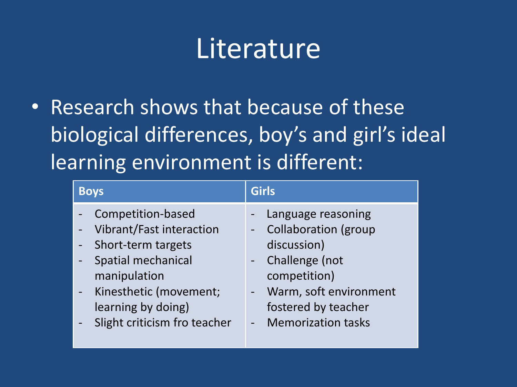### **Literature**

• Research shows that because of these biological differences, boy's and girl's ideal learning environment is different:

| <b>Boys</b>                  | <b>Girls</b>                |
|------------------------------|-----------------------------|
| Competition-based            | Language reasoning          |
| Vibrant/Fast interaction     | <b>Collaboration (group</b> |
| Short-term targets           | discussion)                 |
| <b>Spatial mechanical</b>    | Challenge (not              |
| manipulation                 | competition)                |
| Kinesthetic (movement;       | Warm, soft environment      |
| learning by doing)           | fostered by teacher         |
| Slight criticism fro teacher | - Memorization tasks        |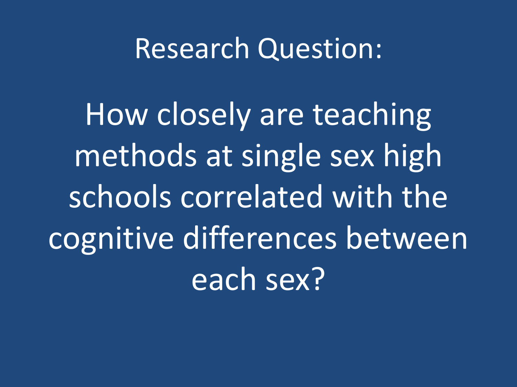#### Research Question:

How closely are teaching methods at single sex high schools correlated with the cognitive differences between each sex?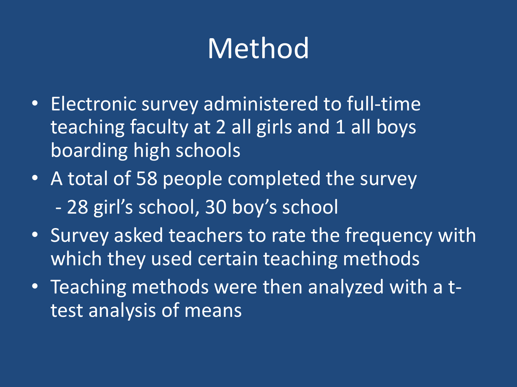# Method

- Electronic survey administered to full-time teaching faculty at 2 all girls and 1 all boys boarding high schools
- A total of 58 people completed the survey - 28 girl's school, 30 boy's school
- Survey asked teachers to rate the frequency with which they used certain teaching methods
- Teaching methods were then analyzed with a ttest analysis of means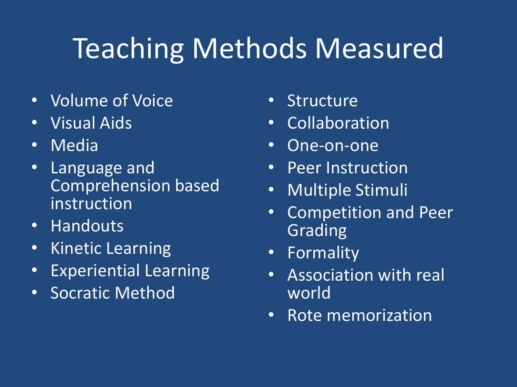# Teaching Methods Measured

- Volume of Voice
- Visual Aids
- Media
- Language and Comprehension based instruction
- Handouts
- Kinetic Learning
- Experiential Learning
- Socratic Method
- **Structure**
- Collaboration
- One-on-one
- Peer Instruction
- Multiple Stimuli
- Competition and Peer Grading
- Formality
- Association with real world
- Rote memorization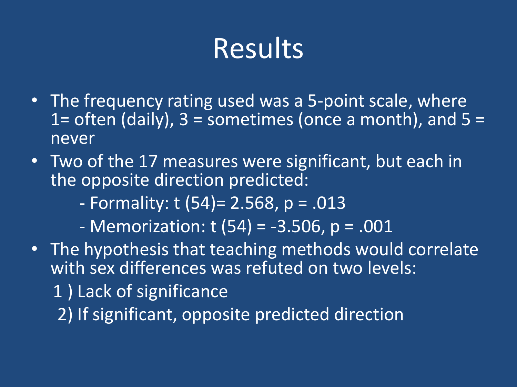## Results

- The frequency rating used was a 5-point scale, where 1= often (daily),  $3$  = sometimes (once a month), and  $5 =$ never
- Two of the 17 measures were significant, but each in the opposite direction predicted:

- Formality: t (54)= 2.568, p = .013

 $-$  Memorization: t (54) =  $-3.506$ , p = .001

• The hypothesis that teaching methods would correlate with sex differences was refuted on two levels: 1 ) Lack of significance 2) If significant, opposite predicted direction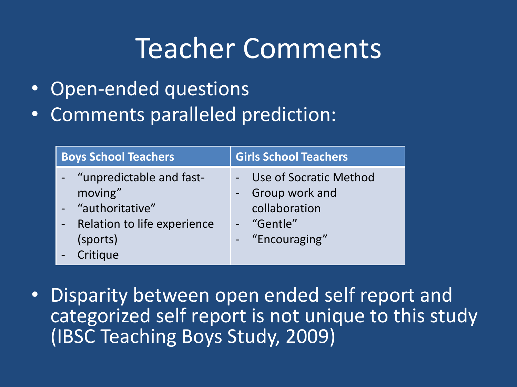### Teacher Comments

- Open-ended questions
- Comments paralleled prediction:

| <b>Boys School Teachers</b>                                                                                       | <b>Girls School Teachers</b>                                                                   |
|-------------------------------------------------------------------------------------------------------------------|------------------------------------------------------------------------------------------------|
| - "unpredictable and fast-<br>moving"<br>- "authoritative"<br>Relation to life experience<br>(sports)<br>Critique | - Use of Socratic Method<br>- Group work and<br>collaboration<br>- "Gentle"<br>- "Encouraging" |

• Disparity between open ended self report and categorized self report is not unique to this study (IBSC Teaching Boys Study, 2009)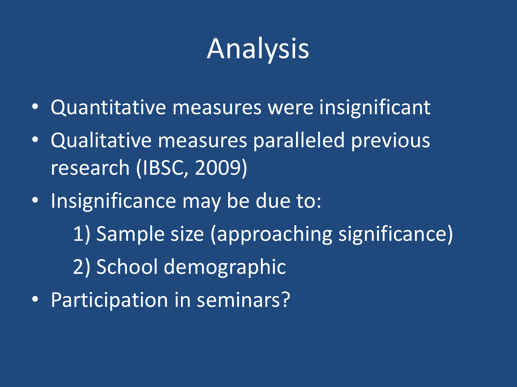# Analysis

- Quantitative measures were insignificant
- Qualitative measures paralleled previous research (IBSC, 2009)
- Insignificance may be due to: 1) Sample size (approaching significance) 2) School demographic • Participation in seminars?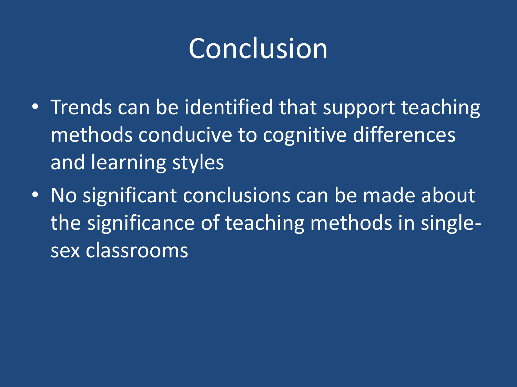## Conclusion

- Trends can be identified that support teaching methods conducive to cognitive differences and learning styles
- No significant conclusions can be made about the significance of teaching methods in singlesex classrooms